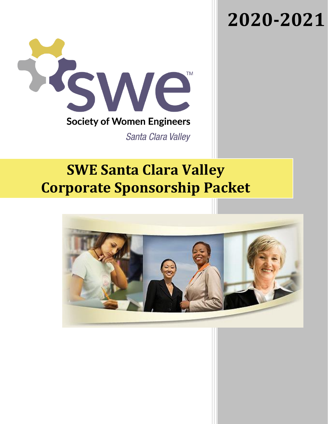### **2020-2021**



### **SWE Santa Clara Valley Corporate Sponsorship Packet**

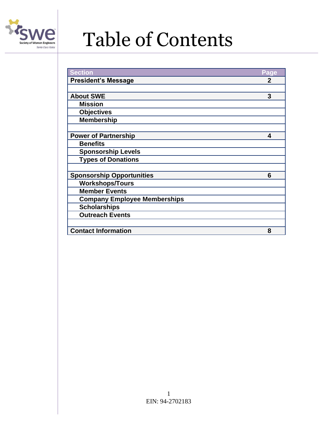

## Table of Contents

| <b>Section</b><br>Page<br><b>President's Message</b><br>$\mathbf{p}$<br>3<br><b>About SWE</b><br><b>Mission</b><br><b>Objectives</b><br><b>Membership</b><br><b>Power of Partnership</b><br>4<br><b>Benefits</b><br><b>Sponsorship Levels</b><br><b>Types of Donations</b><br><b>Sponsorship Opportunities</b><br>6<br><b>Workshops/Tours</b><br><b>Member Events</b><br><b>Company Employee Memberships</b><br><b>Scholarships</b><br><b>Outreach Events</b><br><b>Contact Information</b><br>8 |  |
|--------------------------------------------------------------------------------------------------------------------------------------------------------------------------------------------------------------------------------------------------------------------------------------------------------------------------------------------------------------------------------------------------------------------------------------------------------------------------------------------------|--|
|                                                                                                                                                                                                                                                                                                                                                                                                                                                                                                  |  |
|                                                                                                                                                                                                                                                                                                                                                                                                                                                                                                  |  |
|                                                                                                                                                                                                                                                                                                                                                                                                                                                                                                  |  |
|                                                                                                                                                                                                                                                                                                                                                                                                                                                                                                  |  |
|                                                                                                                                                                                                                                                                                                                                                                                                                                                                                                  |  |
|                                                                                                                                                                                                                                                                                                                                                                                                                                                                                                  |  |
|                                                                                                                                                                                                                                                                                                                                                                                                                                                                                                  |  |
|                                                                                                                                                                                                                                                                                                                                                                                                                                                                                                  |  |
|                                                                                                                                                                                                                                                                                                                                                                                                                                                                                                  |  |
|                                                                                                                                                                                                                                                                                                                                                                                                                                                                                                  |  |
|                                                                                                                                                                                                                                                                                                                                                                                                                                                                                                  |  |
|                                                                                                                                                                                                                                                                                                                                                                                                                                                                                                  |  |
|                                                                                                                                                                                                                                                                                                                                                                                                                                                                                                  |  |
|                                                                                                                                                                                                                                                                                                                                                                                                                                                                                                  |  |
|                                                                                                                                                                                                                                                                                                                                                                                                                                                                                                  |  |
|                                                                                                                                                                                                                                                                                                                                                                                                                                                                                                  |  |
|                                                                                                                                                                                                                                                                                                                                                                                                                                                                                                  |  |
|                                                                                                                                                                                                                                                                                                                                                                                                                                                                                                  |  |
|                                                                                                                                                                                                                                                                                                                                                                                                                                                                                                  |  |
|                                                                                                                                                                                                                                                                                                                                                                                                                                                                                                  |  |
|                                                                                                                                                                                                                                                                                                                                                                                                                                                                                                  |  |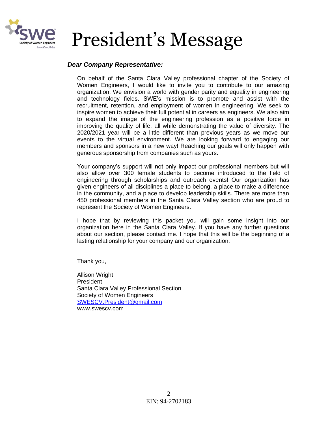

### President's Message

#### *Dear Company Representative:*

On behalf of the Santa Clara Valley professional chapter of the Society of Women Engineers, I would like to invite you to contribute to our amazing organization. We envision a world with gender parity and equality in engineering and technology fields. SWE's mission is to promote and assist with the recruitment, retention, and employment of women in engineering. We seek to inspire women to achieve their full potential in careers as engineers. We also aim to expand the image of the engineering profession as a positive force in improving the quality of life, all while demonstrating the value of diversity. The 2020/2021 year will be a little different than previous years as we move our events to the virtual environment. We are looking forward to engaging our members and sponsors in a new way! Reaching our goals will only happen with generous sponsorship from companies such as yours.

Your company's support will not only impact our professional members but will also allow over 300 female students to become introduced to the field of engineering through scholarships and outreach events! Our organization has given engineers of all disciplines a place to belong, a place to make a difference in the community, and a place to develop leadership skills. There are more than 450 professional members in the Santa Clara Valley section who are proud to represent the Society of Women Engineers.

I hope that by reviewing this packet you will gain some insight into our organization here in the Santa Clara Valley. If you have any further questions about our section, please contact me. I hope that this will be the beginning of a lasting relationship for your company and our organization.

Thank you,

Allison Wright President Santa Clara Valley Professional Section Society of Women Engineers [SWESCV.President@gmail.com](mailto:SWESCV.President@gmail.com) www.swescv.com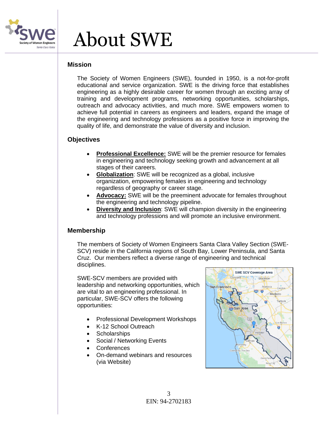

### About SWE

#### **Mission**

The Society of Women Engineers (SWE), founded in 1950, is a not-for-profit educational and service organization. SWE is the driving force that establishes engineering as a highly desirable career for women through an exciting array of training and development programs, networking opportunities, scholarships, outreach and advocacy activities, and much more. SWE empowers women to achieve full potential in careers as engineers and leaders, expand the image of the engineering and technology professions as a positive force in improving the quality of life, and demonstrate the value of diversity and inclusion.

#### **Objectives**

- **Professional Excellence:** SWE will be the premier resource for females in engineering and technology seeking growth and advancement at all stages of their careers.
- **Globalization**: SWE will be recognized as a global, inclusive organization, empowering females in engineering and technology regardless of geography or career stage.
- **Advocacy:** SWE will be the preeminent advocate for females throughout the engineering and technology pipeline.
- **Diversity and Inclusion:** SWE will champion diversity in the engineering and technology professions and will promote an inclusive environment.

#### **Membership**

The members of Society of Women Engineers Santa Clara Valley Section (SWE-SCV) reside in the California regions of South Bay, Lower Peninsula, and Santa Cruz. Our members reflect a diverse range of engineering and technical disciplines.

SWE-SCV members are provided with leadership and networking opportunities, which are vital to an engineering professional. In particular, SWE-SCV offers the following opportunities:

- Professional Development Workshops
- K-12 School Outreach
- **Scholarships**
- Social / Networking Events
- **Conferences**
- On-demand webinars and resources (via Website)

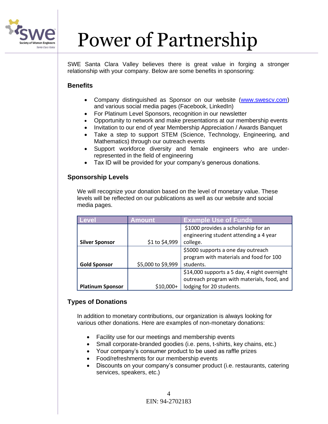

# Power of Partnership

SWE Santa Clara Valley believes there is great value in forging a stronger relationship with your company. Below are some benefits in sponsoring:

#### **Benefits**

- Company distinguished as Sponsor on our website [\(www.swescv.com\)](http://www.swescv.com/) and various social media pages (Facebook, LinkedIn)
- For Platinum Level Sponsors, recognition in our newsletter
- Opportunity to network and make presentations at our membership events
- Invitation to our end of year Membership Appreciation / Awards Banquet
- Take a step to support STEM (Science, Technology, Engineering, and Mathematics) through our outreach events
- Support workforce diversity and female engineers who are underrepresented in the field of engineering
- Tax ID will be provided for your company's generous donations.

#### **Sponsorship Levels**

We will recognize your donation based on the level of monetary value. These levels will be reflected on our publications as well as our website and social media pages.

| Level                   | Amount <sup>'</sup>   | <b>Example Use of Funds</b>                  |
|-------------------------|-----------------------|----------------------------------------------|
|                         |                       | \$1000 provides a scholarship for an         |
|                         |                       | engineering student attending a 4 year       |
| <b>Silver Sponsor</b>   | \$1 to \$4,999        | college.                                     |
|                         |                       | \$5000 supports a one day outreach           |
|                         |                       | program with materials and food for 100      |
| <b>Gold Sponsor</b>     | \$5,000 to \$9,999    | students.                                    |
|                         |                       | \$14,000 supports a 5 day, 4 night overnight |
|                         |                       | outreach program with materials, food, and   |
| <b>Platinum Sponsor</b> | S <sub>10</sub> .000+ | lodging for 20 students.                     |

#### **Types of Donations**

In addition to monetary contributions, our organization is always looking for various other donations. Here are examples of non-monetary donations:

- Facility use for our meetings and membership events
- Small corporate-branded goodies (i.e. pens, t-shirts, key chains, etc.)
- Your company's consumer product to be used as raffle prizes
- Food/refreshments for our membership events
- Discounts on your company's consumer product (i.e. restaurants, catering services, speakers, etc.)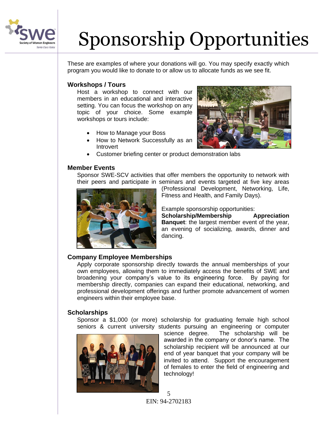

# Sponsorship Opportunities

These are examples of where your donations will go. You may specify exactly which program you would like to donate to or allow us to allocate funds as we see fit.

#### **Workshops / Tours**

Host a workshop to connect with our members in an educational and interactive setting. You can focus the workshop on any topic of your choice. Some example workshops or tours include:

- How to Manage your Boss
- How to Network Successfully as an **Introvert**
- Customer briefing center or product demonstration labs

#### **Member Events**

Sponsor SWE-SCV activities that offer members the opportunity to network with their peers and participate in seminars and events targeted at five key areas



(Professional Development, Networking, Life, Fitness and Health, and Family Days).

Example sponsorship opportunities:

**Scholarship/Membership Appreciation Banquet**: the largest member event of the year, an evening of socializing, awards, dinner and dancing.

#### **Company Employee Memberships**

Apply corporate sponsorship directly towards the annual memberships of your own employees, allowing them to immediately access the benefits of SWE and broadening your company's value to its engineering force. By paying for membership directly, companies can expand their educational, networking, and professional development offerings and further promote advancement of women engineers within their employee base.

#### **Scholarships**

Sponsor a \$1,000 (or more) scholarship for graduating female high school seniors & current university students pursuing an engineering or computer



science degree. The scholarship will be awarded in the company or donor's name. The scholarship recipient will be announced at our end of year banquet that your company will be invited to attend. Support the encouragement of females to enter the field of engineering and technology!

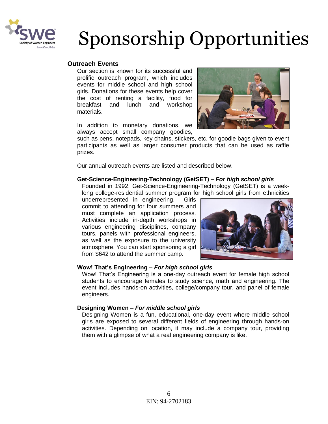

# Sponsorship Opportunities

#### **Outreach Events**

Our section is known for its successful and prolific outreach program, which includes events for middle school and high school girls. Donations for these events help cover the cost of renting a facility, food for breakfast and lunch and workshop materials.

In addition to monetary donations, we always accept small company goodies,



such as pens, notepads, key chains, stickers, etc. for goodie bags given to event participants as well as larger consumer products that can be used as raffle prizes.

Our annual outreach events are listed and described below.

#### **Get-Science-Engineering-Technology (GetSET) –** *For high school girls*

Founded in 1992, Get-Science-Engineering-Technology (GetSET) is a weeklong college-residential summer program for high school girls from ethnicities

underrepresented in engineering. Girls commit to attending for four summers and must complete an application process. Activities include in-depth workshops in various engineering disciplines, company tours, panels with professional engineers, as well as the exposure to the university atmosphere. You can start sponsoring a girl from \$642 to attend the summer camp.



#### **Wow! That's Engineering –** *For high school girls*

Wow! That's Engineering is a one-day outreach event for female high school students to encourage females to study science, math and engineering. The event includes hands-on activities, college/company tour, and panel of female engineers.

#### **Designing Women –** *For middle school girls*

Designing Women is a fun, educational, one-day event where middle school girls are exposed to several different fields of engineering through hands-on activities. Depending on location, it may include a company tour, providing them with a glimpse of what a real engineering company is like.